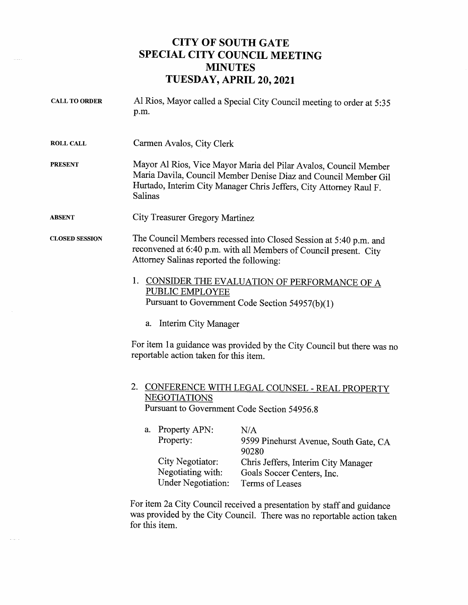## CITY OF SOUTH GATE SPECIAL CITY COUNCIL MEETING **MINUTES** TUESDAY, APRIL 20, 2021

ille signed.

 $\sim$   $\sim$ 

| <b>CALL TO ORDER</b>  | Al Rios, Mayor called a Special City Council meeting to order at 5:35<br>p.m.                                                                                                                                                                                                                                        |                                                                                      |
|-----------------------|----------------------------------------------------------------------------------------------------------------------------------------------------------------------------------------------------------------------------------------------------------------------------------------------------------------------|--------------------------------------------------------------------------------------|
| <b>ROLL CALL</b>      | Carmen Avalos, City Clerk                                                                                                                                                                                                                                                                                            |                                                                                      |
| <b>PRESENT</b>        | Mayor Al Rios, Vice Mayor Maria del Pilar Avalos, Council Member<br>Maria Davila, Council Member Denise Diaz and Council Member Gil<br>Hurtado, Interim City Manager Chris Jeffers, City Attorney Raul F.<br>Salinas                                                                                                 |                                                                                      |
| <b>ABSENT</b>         | <b>City Treasurer Gregory Martinez</b>                                                                                                                                                                                                                                                                               |                                                                                      |
| <b>CLOSED SESSION</b> | The Council Members recessed into Closed Session at 5:40 p.m. and<br>reconvened at 6:40 p.m. with all Members of Council present. City<br>Attorney Salinas reported the following:<br>1.<br>CONSIDER THE EVALUATION OF PERFORMANCE OF A<br><b>PUBLIC EMPLOYEE</b><br>Pursuant to Government Code Section 54957(b)(1) |                                                                                      |
|                       |                                                                                                                                                                                                                                                                                                                      |                                                                                      |
|                       | a. Interim City Manager                                                                                                                                                                                                                                                                                              |                                                                                      |
|                       | For item 1a guidance was provided by the City Council but there was no<br>reportable action taken for this item.                                                                                                                                                                                                     |                                                                                      |
|                       | 2.<br>CONFERENCE WITH LEGAL COUNSEL - REAL PROPERTY<br><b>NEGOTIATIONS</b><br>Pursuant to Government Code Section 54956.8                                                                                                                                                                                            |                                                                                      |
|                       | a. Property APN:<br>Property:                                                                                                                                                                                                                                                                                        | N/A<br>9599 Pinehurst Avenue, South Gate, CA<br>90280                                |
|                       | City Negotiator:<br>Negotiating with:<br><b>Under Negotiation:</b>                                                                                                                                                                                                                                                   | Chris Jeffers, Interim City Manager<br>Goals Soccer Centers, Inc.<br>Terms of Leases |
|                       | For item 2a City Council received a presentation by staff and guidance<br>was provided by the City Council. There was no reportable action taken                                                                                                                                                                     |                                                                                      |

for this item.